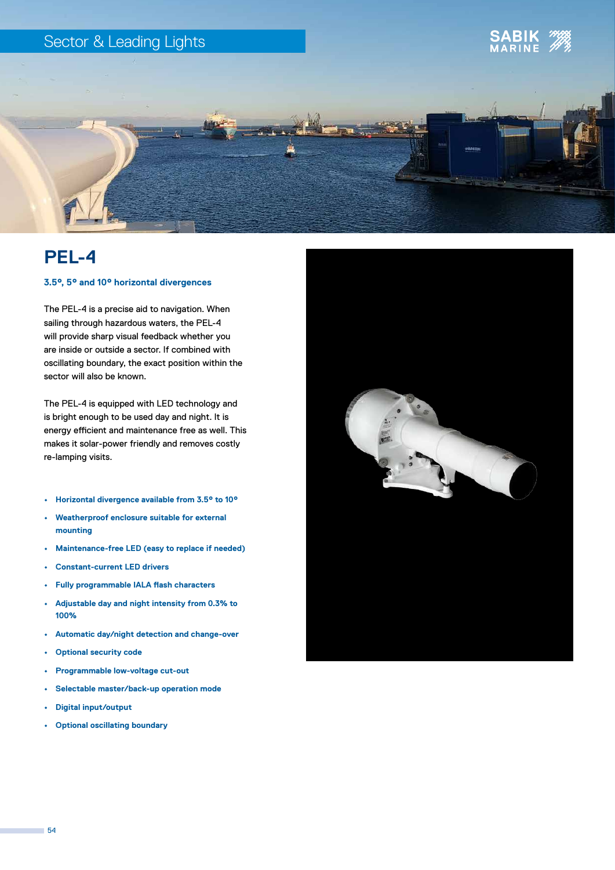### Sector & Leading Lights





## **PEL-4**

#### **3.5°, 5° and 10° horizontal divergences**

The PEL-4 is a precise aid to navigation. When sailing through hazardous waters, the PEL-4 will provide sharp visual feedback whether you are inside or outside a sector. If combined with oscillating boundary, the exact position within the sector will also be known.

The PEL-4 is equipped with LED technology and is bright enough to be used day and night. It is energy efficient and maintenance free as well. This makes it solar-power friendly and removes costly re-lamping visits.

- **• Horizontal divergence available from 3.5° to 10°**
- **• Weatherproof enclosure suitable for external mounting**
- **• Maintenance-free LED (easy to replace if needed)**
- **• Constant-current LED drivers**
- **• Fully programmable IALA flash characters**
- **• Adjustable day and night intensity from 0.3% to 100%**
- **• Automatic day/night detection and change-over**
- **• Optional security code**
- **• Programmable low-voltage cut-out**
- **• Selectable master/back-up operation mode**
- **• Digital input/output**
- **• Optional oscillating boundary**



m.